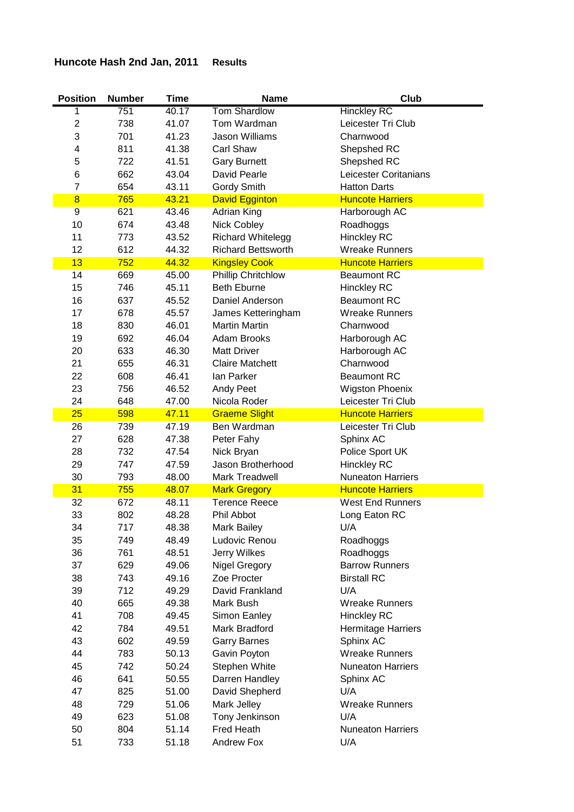## **Huncote Hash 2nd Jan, 2011 Results**

| <b>Position</b>         | <b>Number</b> | <b>Time</b> | <b>Name</b>               | <b>Club</b>              |
|-------------------------|---------------|-------------|---------------------------|--------------------------|
| 1                       | 751           | 40.17       | <b>Tom Shardlow</b>       | <b>Hinckley RC</b>       |
| 2                       | 738           | 41.07       | Tom Wardman               | Leicester Tri Club       |
| 3                       | 701           | 41.23       | <b>Jason Williams</b>     | Charnwood                |
| 4                       | 811           | 41.38       | <b>Carl Shaw</b>          | Shepshed RC              |
| 5                       | 722           | 41.51       | <b>Gary Burnett</b>       | Shepshed RC              |
| 6                       | 662           | 43.04       | David Pearle              | Leicester Coritanians    |
| 7                       | 654           | 43.11       | <b>Gordy Smith</b>        | <b>Hatton Darts</b>      |
| $\overline{\mathbf{8}}$ | 765           | 43.21       | <b>David Egginton</b>     | <b>Huncote Harriers</b>  |
| $\overline{9}$          | 621           | 43.46       | Adrian King               | Harborough AC            |
| 10                      | 674           | 43.48       | Nick Cobley               | Roadhoggs                |
| 11                      | 773           | 43.52       | Richard Whitelegg         | <b>Hinckley RC</b>       |
| 12                      | 612           | 44.32       | <b>Richard Bettsworth</b> | <b>Wreake Runners</b>    |
| 13                      | 752           | 44.32       | <b>Kingsley Cook</b>      | <b>Huncote Harriers</b>  |
| 14                      | 669           | 45.00       | <b>Phillip Chritchlow</b> | <b>Beaumont RC</b>       |
| 15                      | 746           | 45.11       | <b>Beth Eburne</b>        | <b>Hinckley RC</b>       |
| 16                      | 637           | 45.52       | Daniel Anderson           | <b>Beaumont RC</b>       |
| 17                      | 678           | 45.57       | James Ketteringham        | <b>Wreake Runners</b>    |
| 18                      | 830           | 46.01       | <b>Martin Martin</b>      | Charnwood                |
| 19                      | 692           | 46.04       | Adam Brooks               | Harborough AC            |
| 20                      | 633           | 46.30       | <b>Matt Driver</b>        | Harborough AC            |
| 21                      | 655           | 46.31       | <b>Claire Matchett</b>    | Charnwood                |
| 22                      | 608           | 46.41       | lan Parker                | <b>Beaumont RC</b>       |
| 23                      | 756           | 46.52       | Andy Peet                 | <b>Wigston Phoenix</b>   |
| 24                      | 648           | 47.00       | Nicola Roder              | Leicester Tri Club       |
| 25                      | 598           | 47.11       | <b>Graeme Slight</b>      | <b>Huncote Harriers</b>  |
| 26                      | 739           | 47.19       | Ben Wardman               | Leicester Tri Club       |
| 27                      | 628           | 47.38       | Peter Fahy                | Sphinx AC                |
| 28                      | 732           | 47.54       | Nick Bryan                | Police Sport UK          |
| 29                      | 747           | 47.59       | Jason Brotherhood         | <b>Hinckley RC</b>       |
| 30                      | 793           | 48.00       | Mark Treadwell            | <b>Nuneaton Harriers</b> |
| 31                      | 755           | 48.07       | <b>Mark Gregory</b>       | <b>Huncote Harriers</b>  |
| 32                      | 672           | 48.11       | <b>Terence Reece</b>      | <b>West End Runners</b>  |
| 33                      | 802           | 48.28       | Phil Abbot                | Long Eaton RC            |
| 34                      | 717           | 48.38       | <b>Mark Bailey</b>        | U/A                      |
| 35                      | 749           | 48.49       | Ludovic Renou             | Roadhoggs                |
| 36                      | 761           | 48.51       | Jerry Wilkes              | Roadhoggs                |
| 37                      | 629           | 49.06       | <b>Nigel Gregory</b>      | <b>Barrow Runners</b>    |
| 38                      | 743           | 49.16       | Zoe Procter               | <b>Birstall RC</b>       |
| 39                      | 712           | 49.29       | David Frankland           | U/A                      |
| 40                      | 665           | 49.38       | Mark Bush                 | <b>Wreake Runners</b>    |
| 41                      | 708           | 49.45       | Simon Eanley              | <b>Hinckley RC</b>       |
| 42                      | 784           | 49.51       | Mark Bradford             | Hermitage Harriers       |
| 43                      | 602           | 49.59       | <b>Garry Barnes</b>       | Sphinx AC                |
| 44                      | 783           | 50.13       | Gavin Poyton              | <b>Wreake Runners</b>    |
| 45                      | 742           | 50.24       | Stephen White             | <b>Nuneaton Harriers</b> |
| 46                      | 641           | 50.55       | Darren Handley            | Sphinx AC                |
| 47                      | 825           | 51.00       | David Shepherd            | U/A                      |
| 48                      | 729           | 51.06       | Mark Jelley               | <b>Wreake Runners</b>    |
| 49                      | 623           | 51.08       | Tony Jenkinson            | U/A                      |
| 50                      | 804           | 51.14       | <b>Fred Heath</b>         | <b>Nuneaton Harriers</b> |
| 51                      | 733           | 51.18       | <b>Andrew Fox</b>         | U/A                      |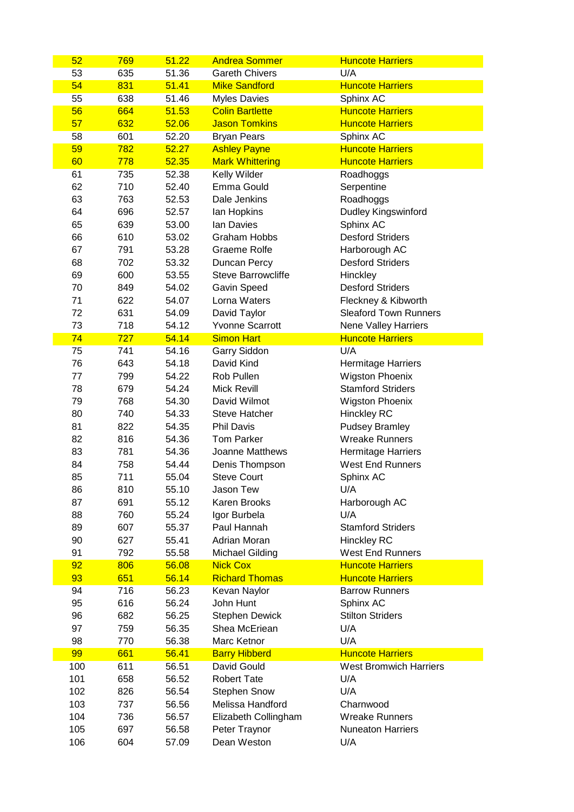| 52       | 769        | 51.22 | <b>Andrea Sommer</b>                     | <b>Huncote Harriers</b>                            |
|----------|------------|-------|------------------------------------------|----------------------------------------------------|
| 53       | 635        | 51.36 | <b>Gareth Chivers</b>                    | U/A                                                |
| 54       | 831        | 51.41 | <b>Mike Sandford</b>                     | <b>Huncote Harriers</b>                            |
| 55       | 638        | 51.46 | <b>Myles Davies</b>                      | Sphinx AC                                          |
| 56       | 664        | 51.53 | <b>Colin Bartlette</b>                   | <b>Huncote Harriers</b>                            |
| 57       | 632        | 52.06 | <b>Jason Tomkins</b>                     | <b>Huncote Harriers</b>                            |
| 58       | 601        | 52.20 | <b>Bryan Pears</b>                       | Sphinx AC                                          |
| 59       | 782        | 52.27 | <b>Ashley Payne</b>                      | <b>Huncote Harriers</b>                            |
| 60       | 778        | 52.35 | <b>Mark Whittering</b>                   | <b>Huncote Harriers</b>                            |
| 61       | 735        | 52.38 | Kelly Wilder                             | Roadhoggs                                          |
| 62       | 710        | 52.40 | Emma Gould                               | Serpentine                                         |
| 63       | 763        | 52.53 | Dale Jenkins                             | Roadhoggs                                          |
| 64       | 696        | 52.57 | Ian Hopkins                              | <b>Dudley Kingswinford</b>                         |
| 65       | 639        | 53.00 | lan Davies                               | Sphinx AC                                          |
| 66       | 610        | 53.02 | <b>Graham Hobbs</b>                      | <b>Desford Striders</b>                            |
| 67       | 791        | 53.28 | Graeme Rolfe                             | Harborough AC                                      |
| 68       | 702        | 53.32 | Duncan Percy                             | <b>Desford Striders</b>                            |
| 69       | 600        | 53.55 | <b>Steve Barrowcliffe</b>                | Hinckley                                           |
| 70       | 849        | 54.02 | Gavin Speed                              | <b>Desford Striders</b>                            |
| 71       | 622        | 54.07 | Lorna Waters                             | Fleckney & Kibworth                                |
| 72       | 631        | 54.09 | David Taylor                             | <b>Sleaford Town Runners</b>                       |
| 73       | 718        | 54.12 | <b>Yvonne Scarrott</b>                   | <b>Nene Valley Harriers</b>                        |
| 74       | 727        | 54.14 | <b>Simon Hart</b>                        | <b>Huncote Harriers</b>                            |
| 75       | 741        | 54.16 | Garry Siddon                             | U/A                                                |
| 76       | 643        | 54.18 | David Kind                               | Hermitage Harriers                                 |
| 77       | 799        | 54.22 | Rob Pullen                               | <b>Wigston Phoenix</b>                             |
| 78       | 679        | 54.24 | <b>Mick Revill</b>                       | <b>Stamford Striders</b>                           |
| 79       | 768        | 54.30 | David Wilmot                             | <b>Wigston Phoenix</b>                             |
| 80       | 740        | 54.33 | <b>Steve Hatcher</b>                     | <b>Hinckley RC</b>                                 |
| 81       | 822        | 54.35 | <b>Phil Davis</b>                        | <b>Pudsey Bramley</b>                              |
| 82       | 816        | 54.36 | <b>Tom Parker</b>                        | <b>Wreake Runners</b>                              |
| 83       | 781        | 54.36 | Joanne Matthews                          | Hermitage Harriers                                 |
| 84       | 758        | 54.44 | Denis Thompson                           | <b>West End Runners</b>                            |
| 85       | 711        | 55.04 | <b>Steve Court</b>                       | Sphinx AC                                          |
| 86       | 810        | 55.10 | Jason Tew                                | U/A                                                |
| 87       | 691        | 55.12 | Karen Brooks                             |                                                    |
| 88       | 760        | 55.24 |                                          | Harborough AC<br>U/A                               |
| 89       |            |       | Igor Burbela<br>Paul Hannah              | <b>Stamford Striders</b>                           |
| 90       | 607        | 55.37 |                                          |                                                    |
|          | 627        | 55.41 | Adrian Moran                             | Hinckley RC                                        |
| 91       | 792        | 55.58 | <b>Michael Gilding</b>                   | <b>West End Runners</b><br><b>Huncote Harriers</b> |
| 92<br>93 | 806        | 56.08 | <b>Nick Cox</b><br><b>Richard Thomas</b> |                                                    |
| 94       | 651<br>716 | 56.14 | Kevan Naylor                             | <b>Huncote Harriers</b><br><b>Barrow Runners</b>   |
|          |            | 56.23 | John Hunt                                |                                                    |
| 95       | 616        | 56.24 |                                          | Sphinx AC                                          |
| 96       | 682        | 56.25 | <b>Stephen Dewick</b>                    | <b>Stilton Striders</b>                            |
| 97       | 759        | 56.35 | Shea McEriean                            | U/A                                                |
| 98       | 770        | 56.38 | Marc Ketnor                              | U/A                                                |
| 99       | 661        | 56.41 | <b>Barry Hibberd</b>                     | <b>Huncote Harriers</b>                            |
| 100      | 611        | 56.51 | David Gould                              | <b>West Bromwich Harriers</b>                      |
| 101      | 658        | 56.52 | <b>Robert Tate</b>                       | U/A                                                |
| 102      | 826        | 56.54 | <b>Stephen Snow</b>                      | U/A                                                |
| 103      | 737        | 56.56 | Melissa Handford                         | Charnwood                                          |
| 104      | 736        | 56.57 | Elizabeth Collingham                     | <b>Wreake Runners</b>                              |
| 105      | 697        | 56.58 | Peter Traynor                            | <b>Nuneaton Harriers</b>                           |
| 106      | 604        | 57.09 | Dean Weston                              | U/A                                                |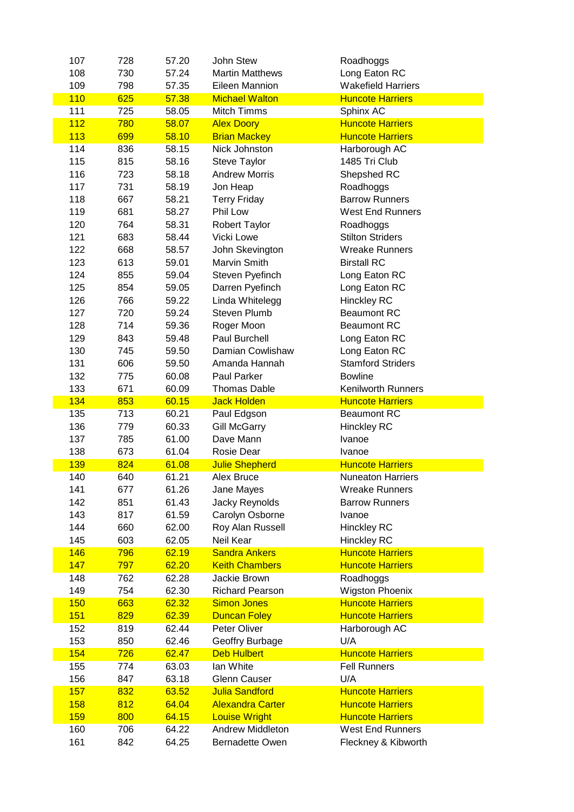| 107        | 728        | 57.20          | John Stew                                  | Roadhoggs                                      |
|------------|------------|----------------|--------------------------------------------|------------------------------------------------|
| 108        | 730        | 57.24          | <b>Martin Matthews</b>                     | Long Eaton RC                                  |
| 109        | 798        | 57.35          | Eileen Mannion                             | <b>Wakefield Harriers</b>                      |
| 110        | 625        | 57.38          | <b>Michael Walton</b>                      | <b>Huncote Harriers</b>                        |
| 111        | 725        | 58.05          | <b>Mitch Timms</b>                         | Sphinx AC                                      |
| 112        | 780        | 58.07          | <b>Alex Doory</b>                          | <b>Huncote Harriers</b>                        |
| 113        | 699        | 58.10          | <b>Brian Mackey</b>                        | <b>Huncote Harriers</b>                        |
| 114        | 836        | 58.15          | Nick Johnston                              | Harborough AC                                  |
| 115        | 815        | 58.16          | <b>Steve Taylor</b>                        | 1485 Tri Club                                  |
| 116        | 723        |                | <b>Andrew Morris</b>                       |                                                |
|            |            | 58.18          |                                            | Shepshed RC                                    |
| 117        | 731        | 58.19          | Jon Heap                                   | Roadhoggs                                      |
| 118        | 667        | 58.21          | <b>Terry Friday</b>                        | <b>Barrow Runners</b>                          |
| 119        | 681        | 58.27          | Phil Low                                   | <b>West End Runners</b>                        |
| 120        | 764        | 58.31          | Robert Taylor                              | Roadhoggs                                      |
| 121        | 683        | 58.44          | Vicki Lowe                                 | <b>Stilton Striders</b>                        |
| 122        | 668        | 58.57          | John Skevington                            | <b>Wreake Runners</b>                          |
| 123        | 613        | 59.01          | Marvin Smith                               | <b>Birstall RC</b>                             |
| 124        | 855        | 59.04          | Steven Pyefinch                            | Long Eaton RC                                  |
| 125        | 854        | 59.05          | Darren Pyefinch                            | Long Eaton RC                                  |
| 126        | 766        | 59.22          | Linda Whitelegg                            | <b>Hinckley RC</b>                             |
| 127        | 720        | 59.24          | <b>Steven Plumb</b>                        | <b>Beaumont RC</b>                             |
| 128        | 714        | 59.36          | Roger Moon                                 | <b>Beaumont RC</b>                             |
| 129        | 843        | 59.48          | <b>Paul Burchell</b>                       | Long Eaton RC                                  |
| 130        | 745        | 59.50          | Damian Cowlishaw                           | Long Eaton RC                                  |
| 131        | 606        | 59.50          | Amanda Hannah                              | <b>Stamford Striders</b>                       |
|            |            |                |                                            |                                                |
| 132        | 775        | 60.08          | <b>Paul Parker</b>                         | <b>Bowline</b>                                 |
| 133        | 671        | 60.09          | <b>Thomas Dable</b>                        | <b>Kenilworth Runners</b>                      |
|            | 853        |                | <b>Jack Holden</b>                         |                                                |
| 134        |            | 60.15          |                                            | <b>Huncote Harriers</b>                        |
| 135        | 713        | 60.21          | Paul Edgson                                | <b>Beaumont RC</b>                             |
| 136        | 779        | 60.33          | <b>Gill McGarry</b>                        | <b>Hinckley RC</b>                             |
| 137        | 785        | 61.00          | Dave Mann                                  | Ivanoe                                         |
| 138        | 673        | 61.04          | Rosie Dear                                 | Ivanoe                                         |
| 139        | 824        | 61.08          | <b>Julie Shepherd</b>                      | <b>Huncote Harriers</b>                        |
| 140        | 640        | 61.21          | Alex Bruce                                 | <b>Nuneaton Harriers</b>                       |
| 141        | 677        | 61.26          |                                            | <b>Wreake Runners</b>                          |
|            |            |                | Jane Mayes                                 | <b>Barrow Runners</b>                          |
| 142        | 851        | 61.43          | Jacky Reynolds                             |                                                |
| 143        | 817        | 61.59          | Carolyn Osborne                            | Ivanoe                                         |
| 144        | 660        | 62.00          | Roy Alan Russell                           | <b>Hinckley RC</b>                             |
| 145        | 603        | 62.05          | Neil Kear                                  | <b>Hinckley RC</b>                             |
| 146        | 796        | 62.19          | <b>Sandra Ankers</b>                       | <b>Huncote Harriers</b>                        |
| 147        | 797        | 62.20          | <b>Keith Chambers</b>                      | <b>Huncote Harriers</b>                        |
| 148        | 762        | 62.28          | Jackie Brown                               | Roadhoggs                                      |
| 149        | 754        | 62.30          | <b>Richard Pearson</b>                     | <b>Wigston Phoenix</b>                         |
| 150        | 663        | 62.32          | <b>Simon Jones</b>                         | <b>Huncote Harriers</b>                        |
| 151        | 829        | 62.39          | <b>Duncan Foley</b>                        | <b>Huncote Harriers</b>                        |
| 152        | 819        | 62.44          | Peter Oliver                               | Harborough AC                                  |
| 153        | 850        | 62.46          | Geoffry Burbage                            | U/A                                            |
| 154        | 726        | 62.47          | <b>Deb Hulbert</b>                         | <b>Huncote Harriers</b>                        |
| 155        | 774        | 63.03          | lan White                                  | <b>Fell Runners</b>                            |
| 156        | 847        | 63.18          | <b>Glenn Causer</b>                        | U/A                                            |
| 157        | 832        | 63.52          | <b>Julia Sandford</b>                      | <b>Huncote Harriers</b>                        |
| <b>158</b> | 812        | 64.04          | <b>Alexandra Carter</b>                    | <b>Huncote Harriers</b>                        |
|            |            |                |                                            |                                                |
| <b>159</b> | 800        | 64.15          | <b>Louise Wright</b>                       | <b>Huncote Harriers</b>                        |
| 160<br>161 | 706<br>842 | 64.22<br>64.25 | <b>Andrew Middleton</b><br>Bernadette Owen | <b>West End Runners</b><br>Fleckney & Kibworth |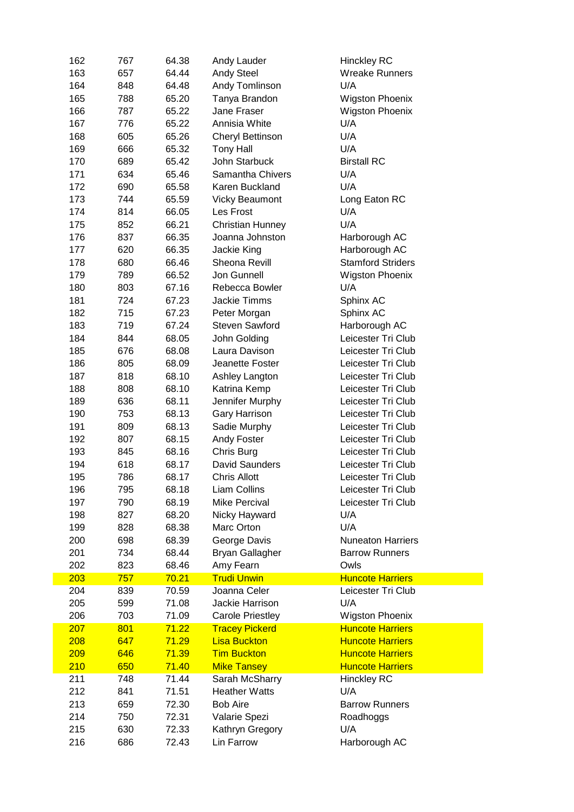| 162 | 767 | 64.38 | Andy Lauder             | <b>Hinckley RC</b>       |
|-----|-----|-------|-------------------------|--------------------------|
| 163 | 657 | 64.44 | <b>Andy Steel</b>       | <b>Wreake Runners</b>    |
| 164 | 848 | 64.48 | Andy Tomlinson          | U/A                      |
| 165 | 788 | 65.20 | Tanya Brandon           | <b>Wigston Phoenix</b>   |
| 166 | 787 | 65.22 | Jane Fraser             | <b>Wigston Phoenix</b>   |
| 167 | 776 | 65.22 | Annisia White           | U/A                      |
| 168 | 605 | 65.26 | Cheryl Bettinson        | U/A                      |
| 169 | 666 | 65.32 | <b>Tony Hall</b>        | U/A                      |
| 170 | 689 | 65.42 | John Starbuck           | <b>Birstall RC</b>       |
| 171 | 634 | 65.46 | Samantha Chivers        | U/A                      |
| 172 | 690 | 65.58 | Karen Buckland          | U/A                      |
| 173 | 744 | 65.59 | <b>Vicky Beaumont</b>   | Long Eaton RC            |
| 174 | 814 | 66.05 | Les Frost               | U/A                      |
| 175 | 852 | 66.21 | <b>Christian Hunney</b> | U/A                      |
| 176 | 837 | 66.35 | Joanna Johnston         | Harborough AC            |
| 177 | 620 | 66.35 | Jackie King             | Harborough AC            |
| 178 | 680 | 66.46 | Sheona Revill           | <b>Stamford Striders</b> |
| 179 | 789 | 66.52 | Jon Gunnell             | <b>Wigston Phoenix</b>   |
| 180 | 803 | 67.16 | Rebecca Bowler          | U/A                      |
| 181 | 724 | 67.23 | <b>Jackie Timms</b>     | Sphinx AC                |
| 182 | 715 | 67.23 | Peter Morgan            | Sphinx AC                |
| 183 | 719 | 67.24 | <b>Steven Sawford</b>   | Harborough AC            |
| 184 | 844 | 68.05 | John Golding            | Leicester Tri Club       |
| 185 | 676 | 68.08 | Laura Davison           | Leicester Tri Club       |
| 186 | 805 | 68.09 | Jeanette Foster         | Leicester Tri Club       |
| 187 | 818 | 68.10 | Ashley Langton          | Leicester Tri Club       |
| 188 | 808 | 68.10 | Katrina Kemp            | Leicester Tri Club       |
| 189 | 636 | 68.11 | Jennifer Murphy         | Leicester Tri Club       |
| 190 | 753 | 68.13 | Gary Harrison           | Leicester Tri Club       |
| 191 | 809 | 68.13 | Sadie Murphy            | Leicester Tri Club       |
| 192 | 807 | 68.15 | <b>Andy Foster</b>      | Leicester Tri Club       |
| 193 | 845 | 68.16 | Chris Burg              | Leicester Tri Club       |
| 194 | 618 | 68.17 | David Saunders          | Leicester Tri Club       |
| 195 | 786 | 68.17 | <b>Chris Allott</b>     | Leicester Tri Club       |
| 196 | 795 | 68.18 | Liam Collins            | Leicester Tri Club       |
| 197 | 790 | 68.19 | Mike Percival           | Leicester Tri Club       |
| 198 | 827 | 68.20 | Nicky Hayward           | U/A                      |
| 199 | 828 | 68.38 | Marc Orton              | U/A                      |
| 200 | 698 | 68.39 | George Davis            | <b>Nuneaton Harriers</b> |
| 201 | 734 | 68.44 | <b>Bryan Gallagher</b>  | <b>Barrow Runners</b>    |
| 202 | 823 | 68.46 | Amy Fearn               | Owls                     |
| 203 | 757 | 70.21 | <b>Trudi Unwin</b>      | <b>Huncote Harriers</b>  |
| 204 | 839 | 70.59 | Joanna Celer            | Leicester Tri Club       |
| 205 | 599 | 71.08 | Jackie Harrison         | U/A                      |
| 206 | 703 | 71.09 | <b>Carole Priestley</b> | <b>Wigston Phoenix</b>   |
| 207 | 801 | 71.22 | <b>Tracey Pickerd</b>   | <b>Huncote Harriers</b>  |
| 208 | 647 | 71.29 | <b>Lisa Buckton</b>     | <b>Huncote Harriers</b>  |
| 209 | 646 | 71.39 | <b>Tim Buckton</b>      | <b>Huncote Harriers</b>  |
| 210 | 650 | 71.40 | <b>Mike Tansey</b>      | <b>Huncote Harriers</b>  |
| 211 | 748 | 71.44 | Sarah McSharry          | <b>Hinckley RC</b>       |
| 212 | 841 | 71.51 | <b>Heather Watts</b>    | U/A                      |
| 213 | 659 | 72.30 | <b>Bob Aire</b>         | <b>Barrow Runners</b>    |
| 214 | 750 | 72.31 | Valarie Spezi           | Roadhoggs                |
| 215 | 630 | 72.33 | Kathryn Gregory         | U/A                      |
| 216 | 686 | 72.43 | Lin Farrow              |                          |
|     |     |       |                         | Harborough AC            |